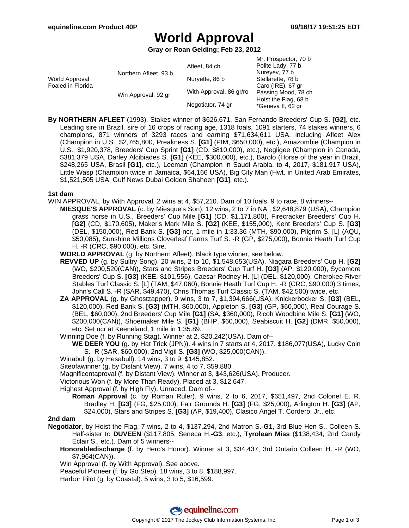Mr. Prospector, 70 b

# **World Approval**

**Gray or Roan Gelding; Feb 23, 2012**

|                                     |                       |                         | IVII. FIUSPECIUI, TU D |
|-------------------------------------|-----------------------|-------------------------|------------------------|
|                                     |                       | Afleet, 84 ch           | Polite Lady, 77 b      |
| World Approval<br>Foaled in Florida | Northern Afleet, 93 b |                         | Nureyev, 77 b          |
|                                     |                       | Nuryette, 86 b          | Stellarette, 78 b      |
|                                     | Win Approval, 92 gr   | With Approval, 86 gr/ro | Caro (IRE), 67 gr      |
|                                     |                       |                         | Passing Mood, 78 ch    |
|                                     |                       |                         | Hoist the Flag, 68 b   |
|                                     |                       | Negotiator, 74 gr       | *Geneva II, 62 gr      |
|                                     |                       |                         |                        |

**By NORTHERN AFLEET** (1993). Stakes winner of \$626,671, San Fernando Breeders' Cup S. **[G2]**, etc. Leading sire in Brazil, sire of 16 crops of racing age, 1318 foals, 1091 starters, 74 stakes winners, 6 champions, 871 winners of 3293 races and earning \$71,634,611 USA, including Afleet Alex (Champion in U.S., \$2,765,800, Preakness S. **[G1]** (PIM, \$650,000), etc.), Amazombie (Champion in U.S., \$1,920,378, Breeders' Cup Sprint **[G1]** (CD, \$810,000), etc.), Negligee (Champion in Canada, \$381,379 USA, Darley Alcibiades S. **[G1]** (KEE, \$300,000), etc.), Barolo (Horse of the year in Brazil, \$248,265 USA, Brasil **[G1]**, etc.), Leeman (Champion in Saudi Arabia, to 4, 2017, \$181,917 USA), Little Wasp (Champion twice in Jamaica, \$64,166 USA), Big City Man (Hwt. in United Arab Emirates, \$1,521,505 USA, Gulf News Dubai Golden Shaheen **[G1]**, etc.).

#### **1st dam**

WIN APPROVAL, by With Approval. 2 wins at 4, \$57,210. Dam of 10 foals, 9 to race, 8 winners--

**MIESQUE'S APPROVAL** (c. by Miesque's Son). 12 wins, 2 to 7 in NA , \$2,648,879 (USA), Champion grass horse in U.S., Breeders' Cup Mile **[G1]** (CD, \$1,171,800), Firecracker Breeders' Cup H. **[G2]** (CD, \$170,605), Maker's Mark Mile S. **[G2]** (KEE, \$155,000), Kent Breeders' Cup S. **[G3]** (DEL, \$150,000), Red Bank S. **[G3]**-ncr, 1 mile in 1:33.36 (MTH, \$90,000), Pilgrim S. [L] (AQU, \$50,085), Sunshine Millions Cloverleaf Farms Turf S. -R (GP, \$275,000), Bonnie Heath Turf Cup H. -R (CRC, \$90,000), etc. Sire.

**WORLD APPROVAL** (g. by Northern Afleet). Black type winner, see below.

- **REVVED UP** (g. by Sultry Song). 20 wins, 2 to 10, \$1,548,653(USA), Niagara Breeders' Cup H. **[G2]** (WO, \$200,520(CAN)), Stars and Stripes Breeders' Cup Turf H. **[G3]** (AP, \$120,000), Sycamore Breeders' Cup S. **[G3]** (KEE, \$101,556), Caesar Rodney H. [L] (DEL, \$120,000), Cherokee River Stables Turf Classic S. [L] (TAM, \$47,060), Bonnie Heath Turf Cup H. -R (CRC, \$90,000) 3 times, John's Call S. -R (SAR, \$49,470), Chris Thomas Turf Classic S. (TAM, \$42,500) twice, etc.
- **ZA APPROVAL** (g. by Ghostzapper). 9 wins, 3 to 7, \$1,394,666(USA), Knickerbocker S. **[G3]** (BEL, \$120,000), Red Bank S. **[G3]** (MTH, \$60,000), Appleton S. **[G3]** (GP, \$60,000), Real Courage S. (BEL, \$60,000), 2nd Breeders' Cup Mile **[G1]** (SA, \$360,000), Ricoh Woodbine Mile S. **[G1]** (WO, \$200,000(CAN)), Shoemaker Mile S. **[G1]** (BHP, \$60,000), Seabiscuit H. **[G2]** (DMR, \$50,000), etc. Set ncr at Keeneland, 1 mile in 1:35.89.
- Winning Doe (f. by Running Stag). Winner at 2, \$20,242(USA). Dam of--

**WE DEER YOU** (g. by Hat Trick (JPN)). 4 wins in 7 starts at 4, 2017, \$186,077(USA), Lucky Coin S. -R (SAR, \$60,000), 2nd Vigil S. **[G3]** (WO, \$25,000(CAN)).

Winabull (g. by Hesabull). 14 wins, 3 to 9, \$145,852.

Siteofawinner (g. by Distant View). 7 wins, 4 to 7, \$59,880.

Magnificentaproval (f. by Distant View). Winner at 3, \$43,626(USA). Producer.

Victorious Won (f. by More Than Ready). Placed at 3, \$12,647.

Highest Approval (f. by High Fly). Unraced. Dam of--

**Roman Approval** (c. by Roman Ruler). 9 wins, 2 to 6, 2017, \$651,497, 2nd Colonel E. R. Bradley H. **[G3]** (FG, \$25,000), Fair Grounds H. **[G3]** (FG, \$25,000), Arlington H. **[G3]** (AP, \$24,000), Stars and Stripes S. **[G3]** (AP, \$19,400), Clasico Angel T. Cordero, Jr., etc.

### **2nd dam**

- **Negotiator**, by Hoist the Flag. 7 wins, 2 to 4, \$137,294, 2nd Matron S.**-G1**, 3rd Blue Hen S., Colleen S. Half-sister to **DUVEEN** (\$117,805, Seneca H.**-G3**, etc.), **Tyrolean Miss** (\$138,434, 2nd Candy Eclair S., etc.). Dam of 5 winners--
	- **Honorabledischarge** (f. by Hero's Honor). Winner at 3, \$34,437, 3rd Ontario Colleen H. -R (WO, \$7,964(CAN)).

Win Approval (f. by With Approval). See above.

Peaceful Pioneer (f. by Go Step). 18 wins, 3 to 8, \$188,997.

Harbor Pilot (g. by Coastal). 5 wins, 3 to 5, \$16,599.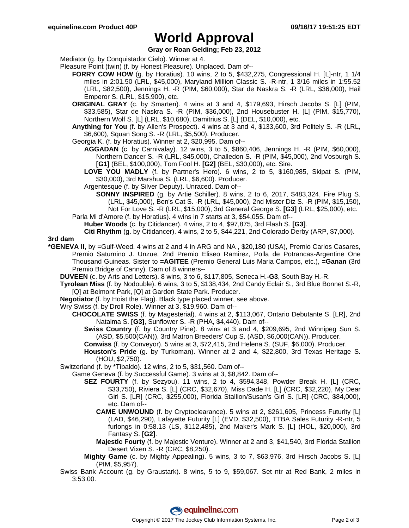## **World Approval**

### **Gray or Roan Gelding; Feb 23, 2012**

Mediator (g. by Conquistador Cielo). Winner at 4.

- Pleasure Point (twin) (f. by Honest Pleasure). Unplaced. Dam of--
	- **FORRY COW HOW** (g. by Horatius). 10 wins, 2 to 5, \$432,275, Congressional H. [L]-ntr, 1 1/4 miles in 2:01.50 (LRL, \$45,000), Maryland Million Classic S. -R-ntr, 1 3/16 miles in 1:55.52 (LRL, \$82,500), Jennings H. -R (PIM, \$60,000), Star de Naskra S. -R (LRL, \$36,000), Hail Emperor S. (LRL, \$15,900), etc.
	- **ORIGINAL GRAY** (c. by Smarten). 4 wins at 3 and 4, \$179,693, Hirsch Jacobs S. [L] (PIM, \$33,585), Star de Naskra S. -R (PIM, \$36,000), 2nd Housebuster H. [L] (PIM, \$15,770), Northern Wolf S. [L] (LRL, \$10,680), Damitrius S. [L] (DEL, \$10,000), etc.
	- **Anything for You** (f. by Allen's Prospect). 4 wins at 3 and 4, \$133,600, 3rd Politely S. -R (LRL, \$6,600), Squan Song S. -R (LRL, \$5,500). Producer.
	- Georgia K. (f. by Horatius). Winner at 2, \$20,995. Dam of--
		- **AGGADAN** (c. by Carnivalay). 12 wins, 3 to 5, \$860,406, Jennings H. -R (PIM, \$60,000), Northern Dancer S. -R (LRL, \$45,000), Challedon S. -R (PIM, \$45,000), 2nd Vosburgh S. **[G1]** (BEL, \$100,000), Tom Fool H. **[G2]** (BEL, \$30,000), etc. Sire.
		- **LOVE YOU MADLY** (f. by Partner's Hero). 6 wins, 2 to 5, \$160,985, Skipat S. (PIM, \$30,000), 3rd Marshua S. (LRL, \$6,600). Producer.
		- Argentesque (f. by Silver Deputy). Unraced. Dam of--
			- **SONNY INSPIRED** (g. by Artie Schiller). 8 wins, 2 to 6, 2017, \$483,324, Fire Plug S. (LRL, \$45,000), Ben's Cat S. -R (LRL, \$45,000), 2nd Mister Diz S. -R (PIM, \$15,150), Not For Love S. -R (LRL, \$15,000), 3rd General George S. **[G3]** (LRL, \$25,000), etc.
	- Parla Mi d'Amore (f. by Horatius). 4 wins in 7 starts at 3, \$54,055. Dam of--
		- **Huber Woods** (c. by Citidancer). 4 wins, 2 to 4, \$97,875, 3rd Flash S. **[G3]**.

**Citi Rhythm** (g. by Citidancer). 4 wins, 2 to 5, \$44,221, 2nd Colorado Derby (ARP, \$7,000).

**3rd dam**

- **\*GENEVA II**, by =Gulf-Weed. 4 wins at 2 and 4 in ARG and NA , \$20,180 (USA), Premio Carlos Casares, Premio Saturnino J. Unzue, 2nd Premio Eliseo Ramirez, Polla de Potrancas-Argentine One Thousand Guineas. Sister to **=AGITEE** (Premio General Luis Maria Campos, etc.), **=Ganan** (3rd Premio Bridge of Canny). Dam of 8 winners--
	- **DUVEEN** (c. by Arts and Letters). 8 wins, 3 to 6, \$117,805, Seneca H.**-G3**, South Bay H.-R.
	- **Tyrolean Miss** (f. by Nodouble). 6 wins, 3 to 5, \$138,434, 2nd Candy Eclair S., 3rd Blue Bonnet S.-R, [Q] at Belmont Park, [Q] at Garden State Park. Producer.
	- **Negotiator** (f. by Hoist the Flag). Black type placed winner, see above.
	- Wry Swiss (f. by Droll Role). Winner at 3, \$19,960. Dam of--
		- **CHOCOLATE SWISS** (f. by Magesterial). 4 wins at 2, \$113,067, Ontario Debutante S. [LR], 2nd Natalma S. **[G3]**, Sunflower S. -R (PHA, \$4,440). Dam of--
			- **Swiss Country** (f. by Country Pine). 8 wins at 3 and 4, \$209,695, 2nd Winnipeg Sun S. (ASD, \$5,500(CAN)), 3rd Matron Breeders' Cup S. (ASD, \$6,000(CAN)). Producer.
			- **Conwiss** (f. by Conveyor). 5 wins at 3, \$72,415, 2nd Helena S. (SUF, \$6,000). Producer.
			- **Houston's Pride** (g. by Turkoman). Winner at 2 and 4, \$22,800, 3rd Texas Heritage S. (HOU, \$2,750).

Switzerland (f. by \*Tibaldo). 12 wins, 2 to 5, \$31,560. Dam of--

- Game Geneva (f. by Successful Game). 3 wins at 3, \$8,842. Dam of--
	- **SEZ FOURTY** (f. by Sezyou). 11 wins, 2 to 4, \$594,348, Powder Break H. [L] (CRC, \$33,750), Riviera S. [L] (CRC, \$32,670), Miss Dade H. [L] (CRC, \$32,220), My Dear Girl S. [LR] (CRC, \$255,000), Florida Stallion/Susan's Girl S. [LR] (CRC, \$84,000), etc. Dam of--
		- **CAME UNWOUND** (f. by Cryptoclearance). 5 wins at 2, \$261,605, Princess Futurity [L] (LAD, \$46,290), Lafayette Futurity [L] (EVD, \$32,500), TTBA Sales Futurity -R-ntr, 5 furlongs in 0:58.13 (LS, \$112,485), 2nd Maker's Mark S. [L] (HOL, \$20,000), 3rd Fantasy S. **[G2]**.
		- **Majestic Fourty** (f. by Majestic Venture). Winner at 2 and 3, \$41,540, 3rd Florida Stallion Desert Vixen S. -R (CRC, \$8,250).
	- **Mighty Game** (c. by Mighty Appealing). 5 wins, 3 to 7, \$63,976, 3rd Hirsch Jacobs S. [L] (PIM, \$5,957).
- Swiss Bank Account (g. by Graustark). 8 wins, 5 to 9, \$59,067. Set ntr at Red Bank, 2 miles in 3:53.00.